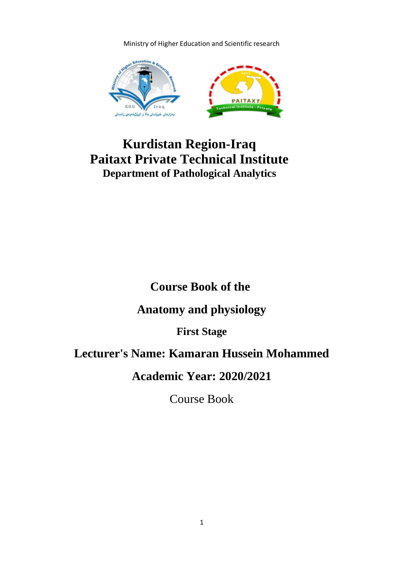Ministry of Higher Education and Scientific research



# **Kurdistan Region-Iraq Paitaxt Private Technical Institute Department of Pathological Analytics**

# **Course Book of the**

## **Anatomy and physiology**

**First Stage**

## **Lecturer's Name: Kamaran Hussein Mohammed**

**Academic Year: 2020/2021**

Course Book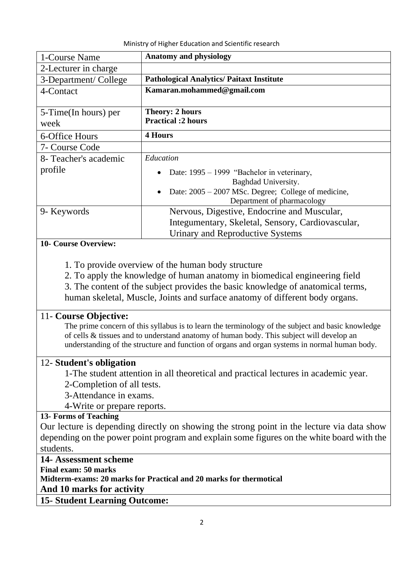| Ministry of Higher Education and Scientific research |
|------------------------------------------------------|
|------------------------------------------------------|

| 1-Course Name         | <b>Anatomy and physiology</b>                       |
|-----------------------|-----------------------------------------------------|
| 2-Lecturer in charge  |                                                     |
| 3-Department/College  | <b>Pathological Analytics/ Paitaxt Institute</b>    |
| 4-Contact             | Kamaran.mohammed@gmail.com                          |
|                       |                                                     |
| 5-Time(In hours) per  | <b>Theory: 2 hours</b>                              |
| week                  | <b>Practical :2 hours</b>                           |
| 6-Office Hours        | <b>4 Hours</b>                                      |
| 7- Course Code        |                                                     |
| 8- Teacher's academic | Education                                           |
| profile               | Date: 1995 - 1999 "Bachelor in veterinary,          |
|                       | Baghdad University.                                 |
|                       | Date: 2005 – 2007 MSc. Degree; College of medicine, |
|                       | Department of pharmacology                          |
| 9- Keywords           | Nervous, Digestive, Endocrine and Muscular,         |
|                       | Integumentary, Skeletal, Sensory, Cardiovascular,   |
|                       | Urinary and Reproductive Systems                    |

#### **10- Course Overview:**

- 1. To provide overview of the human body structure
- 2. To apply the knowledge of human anatomy in biomedical engineering field

3. The content of the subject provides the basic knowledge of anatomical terms, human skeletal, Muscle, Joints and surface anatomy of different body organs.

#### 11- **Course Objective:**

The prime concern of this syllabus is to learn the terminology of the subject and basic knowledge of cells & tissues and to understand anatomy of human body. This subject will develop an understanding of the structure and function of organs and organ systems in normal human body.

### 12- **Student's obligation**

1-The student attention in all theoretical and practical lectures in academic year.

2-Completion of all tests.

- 3-Attendance in exams.
- 4-Write or prepare reports.

#### **13- Forms of Teaching**

Our lecture is depending directly on showing the strong point in the lecture via data show depending on the power point program and explain some figures on the white board with the students.

#### **14- Assessment scheme**

**Final exam: 50 marks** 

**Midterm-exams: 20 marks for Practical and 20 marks for thermotical**

#### **And 10 marks for activity**

**15- Student Learning Outcome:**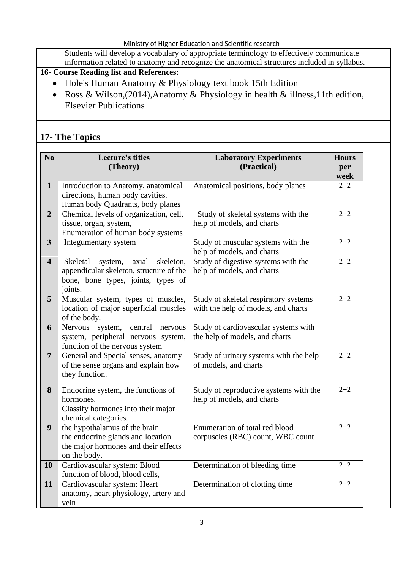Students will develop a vocabulary of appropriate terminology to effectively communicate information related to anatomy and recognize the anatomical structures included in syllabus.

## **16- Course Reading list and References:**

- Hole's Human Anatomy & Physiology text book 15th Edition
- Ross & Wilson,(2014),Anatomy & Physiology in health & illness,11th edition, Elsevier Publications

## **17- The Topics**

| N <sub>o</sub>          | <b>Lecture's titles</b><br>(Theory)                                                                                                   | <b>Laboratory Experiments</b><br>(Practical)                                 | <b>Hours</b><br>per<br>week |
|-------------------------|---------------------------------------------------------------------------------------------------------------------------------------|------------------------------------------------------------------------------|-----------------------------|
| $\mathbf{1}$            | Introduction to Anatomy, anatomical<br>directions, human body cavities.<br>Human body Quadrants, body planes                          | Anatomical positions, body planes                                            | $2 + 2$                     |
| $\overline{2}$          | Chemical levels of organization, cell,<br>tissue, organ, system,<br>Enumeration of human body systems                                 | Study of skeletal systems with the<br>help of models, and charts             | $2 + 2$                     |
| $\mathbf{3}$            | Integumentary system                                                                                                                  | Study of muscular systems with the<br>help of models, and charts             | $2 + 2$                     |
| $\overline{\mathbf{4}}$ | axial<br>Skeletal<br>skeleton,<br>system,<br>appendicular skeleton, structure of the<br>bone, bone types, joints, types of<br>joints. | Study of digestive systems with the<br>help of models, and charts            | $2 + 2$                     |
| 5                       | Muscular system, types of muscles,<br>location of major superficial muscles<br>of the body.                                           | Study of skeletal respiratory systems<br>with the help of models, and charts | $2 + 2$                     |
| 6                       | <b>Nervous</b><br>central<br>system,<br>nervous<br>system, peripheral nervous system,<br>function of the nervous system               | Study of cardiovascular systems with<br>the help of models, and charts       |                             |
| $\overline{7}$          | General and Special senses, anatomy<br>of the sense organs and explain how<br>they function.                                          | Study of urinary systems with the help<br>of models, and charts              | $2 + 2$                     |
| 8                       | Endocrine system, the functions of<br>hormones.<br>Classify hormones into their major<br>chemical categories.                         | Study of reproductive systems with the<br>help of models, and charts         | $2 + 2$                     |
| 9                       | the hypothalamus of the brain<br>the endocrine glands and location.<br>the major hormones and their effects<br>on the body.           | Enumeration of total red blood<br>corpuscles (RBC) count, WBC count          | $2 + 2$                     |
| <b>10</b>               | Cardiovascular system: Blood<br>function of blood, blood cells,                                                                       | Determination of bleeding time                                               | $2 + 2$                     |
| 11                      | Cardiovascular system: Heart<br>anatomy, heart physiology, artery and<br>vein                                                         | Determination of clotting time                                               | $2 + 2$                     |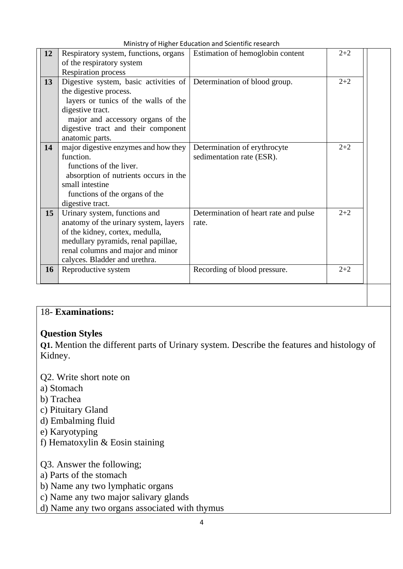|  |  |  | Ministry of Higher Education and Scientific research |  |
|--|--|--|------------------------------------------------------|--|
|--|--|--|------------------------------------------------------|--|

| 12        | Respiratory system, functions, organs                               | Estimation of hemoglobin content      | $2 + 2$ |  |
|-----------|---------------------------------------------------------------------|---------------------------------------|---------|--|
|           | of the respiratory system                                           |                                       |         |  |
|           | <b>Respiration process</b>                                          |                                       |         |  |
| 13        | Digestive system, basic activities of Determination of blood group. |                                       | $2 + 2$ |  |
|           | the digestive process.                                              |                                       |         |  |
|           | layers or tunics of the walls of the                                |                                       |         |  |
|           | digestive tract.                                                    |                                       |         |  |
|           | major and accessory organs of the                                   |                                       |         |  |
|           | digestive tract and their component                                 |                                       |         |  |
|           | anatomic parts.                                                     |                                       |         |  |
| 14        | major digestive enzymes and how they                                | Determination of erythrocyte          | $2 + 2$ |  |
|           | function.                                                           | sedimentation rate (ESR).             |         |  |
|           | functions of the liver.                                             |                                       |         |  |
|           | absorption of nutrients occurs in the                               |                                       |         |  |
|           | small intestine                                                     |                                       |         |  |
|           | functions of the organs of the                                      |                                       |         |  |
|           | digestive tract.                                                    |                                       |         |  |
| 15        | Urinary system, functions and                                       | Determination of heart rate and pulse | $2 + 2$ |  |
|           | anatomy of the urinary system, layers                               | rate.                                 |         |  |
|           | of the kidney, cortex, medulla,                                     |                                       |         |  |
|           | medullary pyramids, renal papillae,                                 |                                       |         |  |
|           | renal columns and major and minor                                   |                                       |         |  |
|           | calyces. Bladder and urethra.                                       |                                       |         |  |
| <b>16</b> | Reproductive system                                                 | Recording of blood pressure.          | $2 + 2$ |  |
|           |                                                                     |                                       |         |  |
|           |                                                                     |                                       |         |  |

## 18- **Examinations:**

### **Question Styles**

**Q1.** Mention the different parts of Urinary system. Describe the features and histology of Kidney.

Q2. Write short note on

- a) Stomach
- b) Trachea
- c) Pituitary Gland
- d) Embalming fluid
- e) Karyotyping
- f) Hematoxylin & Eosin staining

Q3. Answer the following;

- a) Parts of the stomach
- b) Name any two lymphatic organs
- c) Name any two major salivary glands
- d) Name any two organs associated with thymus